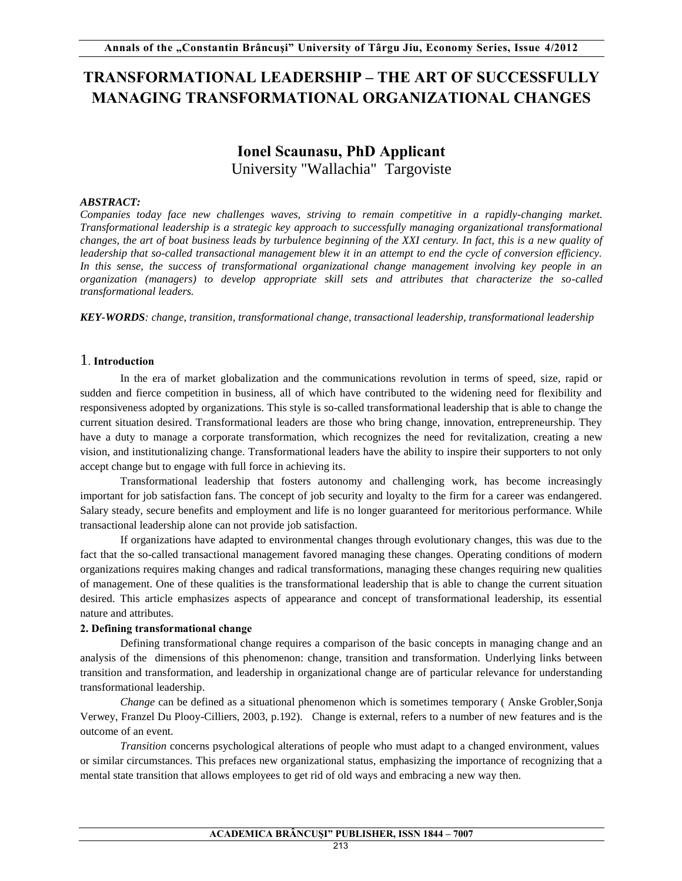# **TRANSFORMATIONAL LEADERSHIP – THE ART OF SUCCESSFULLY MANAGING TRANSFORMATIONAL ORGANIZATIONAL CHANGES**

## **Ionel Scaunasu, PhD Applicant** University "Wallachia" Targoviste

#### *ABSTRACT:*

*Companies today face new challenges waves, striving to remain competitive in a rapidly-changing market. Transformational leadership is a strategic key approach to successfully managing organizational transformational changes, the art of boat business leads by turbulence beginning of the XXI century. In fact, this is a new quality of leadership that so-called transactional management blew it in an attempt to end the cycle of conversion efficiency. In this sense, the success of transformational organizational change management involving key people in an organization (managers) to develop appropriate skill sets and attributes that characterize the so-called transformational leaders.* 

*KEY-WORDS: change, transition, transformational change, transactional leadership, transformational leadership* 

#### 1. **Introduction**

In the era of market globalization and the communications revolution in terms of speed, size, rapid or sudden and fierce competition in business, all of which have contributed to the widening need for flexibility and responsiveness adopted by organizations. This style is so-called transformational leadership that is able to change the current situation desired. Transformational leaders are those who bring change, innovation, entrepreneurship. They have a duty to manage a corporate transformation, which recognizes the need for revitalization, creating a new vision, and institutionalizing change. Transformational leaders have the ability to inspire their supporters to not only accept change but to engage with full force in achieving its.

Transformational leadership that fosters autonomy and challenging work, has become increasingly important for job satisfaction fans. The concept of job security and loyalty to the firm for a career was endangered. Salary steady, secure benefits and employment and life is no longer guaranteed for meritorious performance. While transactional leadership alone can not provide job satisfaction.

If organizations have adapted to environmental changes through evolutionary changes, this was due to the fact that the so-called transactional management favored managing these changes. Operating conditions of modern organizations requires making changes and radical transformations, managing these changes requiring new qualities of management. One of these qualities is the transformational leadership that is able to change the current situation desired. This article emphasizes aspects of appearance and concept of transformational leadership, its essential nature and attributes.

#### **2. Defining transformational change**

Defining transformational change requires a comparison of the basic concepts in managing change and an analysis of the dimensions of this phenomenon: change, transition and transformation. Underlying links between transition and transformation, and leadership in organizational change are of particular relevance for understanding transformational leadership.

*Change* can be defined as a situational phenomenon which is sometimes temporary ( Anske Grobler,Sonja Verwey, Franzel Du Plooy-Cilliers, 2003, p.192). Change is external, refers to a number of new features and is the outcome of an event.

*Transition* concerns psychological alterations of people who must adapt to a changed environment, values or similar circumstances. This prefaces new organizational status, emphasizing the importance of recognizing that a mental state transition that allows employees to get rid of old ways and embracing a new way then.

#### **ACADEMICA BRÂNCUŞI" PUBLISHER, ISSN 1844 – 7007**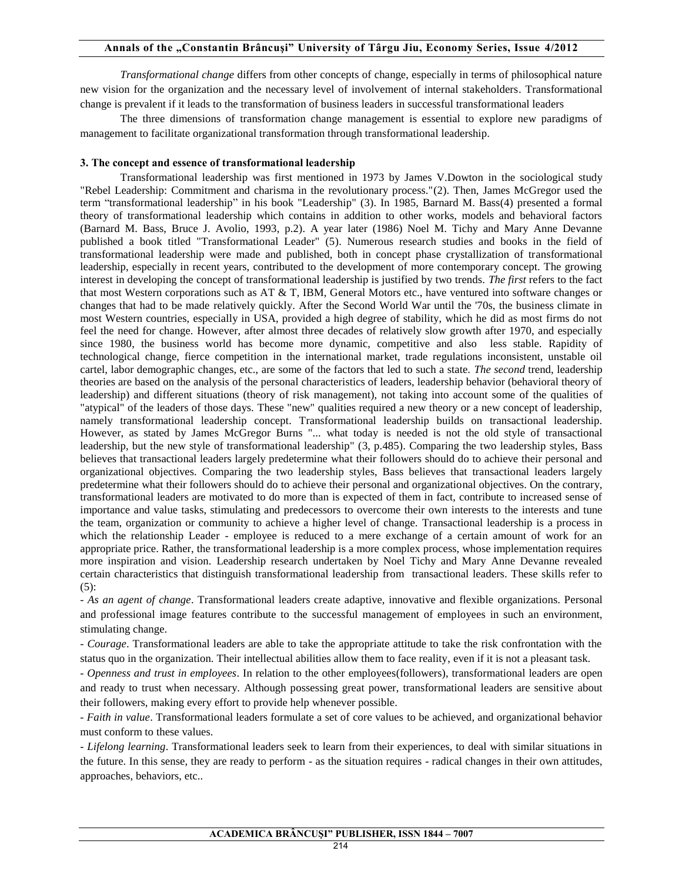### **Annals of the "Constantin Brâncuşi" University of Târgu Jiu, Economy Series, Issue 4/2012**

*Transformational change* differs from other concepts of change, especially in terms of philosophical nature new vision for the organization and the necessary level of involvement of internal stakeholders. Transformational change is prevalent if it leads to the transformation of business leaders in successful transformational leaders

The three dimensions of transformation change management is essential to explore new paradigms of management to facilitate organizational transformation through transformational leadership.

#### **3. The concept and essence of transformational leadership**

Transformational leadership was first mentioned in 1973 by James V.Dowton in the sociological study "Rebel Leadership: Commitment and charisma in the revolutionary process."(2). Then, James McGregor used the term "transformational leadership" in his book "Leadership" (3). In 1985, Barnard M. Bass(4) presented a formal theory of transformational leadership which contains in addition to other works, models and behavioral factors (Barnard M. Bass, Bruce J. Avolio, 1993, p.2). A year later (1986) Noel M. Tichy and Mary Anne Devanne published a book titled "Transformational Leader" (5). Numerous research studies and books in the field of transformational leadership were made and published, both in concept phase crystallization of transformational leadership, especially in recent years, contributed to the development of more contemporary concept. The growing interest in developing the concept of transformational leadership is justified by two trends. *The first* refers to the fact that most Western corporations such as AT & T, IBM, General Motors etc., have ventured into software changes or changes that had to be made relatively quickly. After the Second World War until the '70s, the business climate in most Western countries, especially in USA, provided a high degree of stability, which he did as most firms do not feel the need for change. However, after almost three decades of relatively slow growth after 1970, and especially since 1980, the business world has become more dynamic, competitive and also less stable. Rapidity of technological change, fierce competition in the international market, trade regulations inconsistent, unstable oil cartel, labor demographic changes, etc., are some of the factors that led to such a state. *The second* trend, leadership theories are based on the analysis of the personal characteristics of leaders, leadership behavior (behavioral theory of leadership) and different situations (theory of risk management), not taking into account some of the qualities of "atypical" of the leaders of those days. These "new" qualities required a new theory or a new concept of leadership, namely transformational leadership concept. Transformational leadership builds on transactional leadership. However, as stated by James McGregor Burns "... what today is needed is not the old style of transactional leadership, but the new style of transformational leadership" (3, p.485). Comparing the two leadership styles, Bass believes that transactional leaders largely predetermine what their followers should do to achieve their personal and organizational objectives. Comparing the two leadership styles, Bass believes that transactional leaders largely predetermine what their followers should do to achieve their personal and organizational objectives. On the contrary, transformational leaders are motivated to do more than is expected of them in fact, contribute to increased sense of importance and value tasks, stimulating and predecessors to overcome their own interests to the interests and tune the team, organization or community to achieve a higher level of change. Transactional leadership is a process in which the relationship Leader - employee is reduced to a mere exchange of a certain amount of work for an appropriate price. Rather, the transformational leadership is a more complex process, whose implementation requires more inspiration and vision. Leadership research undertaken by Noel Tichy and Mary Anne Devanne revealed certain characteristics that distinguish transformational leadership from transactional leaders. These skills refer to  $(5)$ :

- *As an agent of change*. Transformational leaders create adaptive, innovative and flexible organizations. Personal and professional image features contribute to the successful management of employees in such an environment, stimulating change.

- *Courage*. Transformational leaders are able to take the appropriate attitude to take the risk confrontation with the status quo in the organization. Their intellectual abilities allow them to face reality, even if it is not a pleasant task.

- *Openness and trust in employees*. In relation to the other employees(followers), transformational leaders are open and ready to trust when necessary. Although possessing great power, transformational leaders are sensitive about their followers, making every effort to provide help whenever possible.

- *Faith in value*. Transformational leaders formulate a set of core values to be achieved, and organizational behavior must conform to these values.

- *Lifelong learning*. Transformational leaders seek to learn from their experiences, to deal with similar situations in the future. In this sense, they are ready to perform - as the situation requires - radical changes in their own attitudes, approaches, behaviors, etc..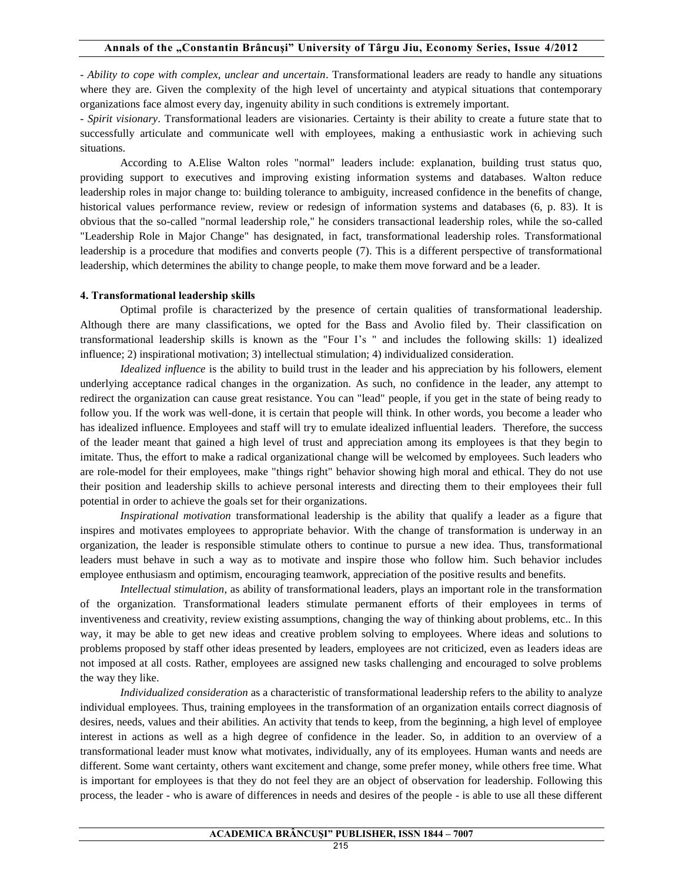#### **Annals of the "Constantin Brâncuşi" University of Târgu Jiu, Economy Series, Issue 4/2012**

- *Ability to cope with complex, unclear and uncertain*. Transformational leaders are ready to handle any situations where they are. Given the complexity of the high level of uncertainty and atypical situations that contemporary organizations face almost every day, ingenuity ability in such conditions is extremely important.

- *Spirit visionary*. Transformational leaders are visionaries. Certainty is their ability to create a future state that to successfully articulate and communicate well with employees, making a enthusiastic work in achieving such situations.

According to A.Elise Walton roles "normal" leaders include: explanation, building trust status quo, providing support to executives and improving existing information systems and databases. Walton reduce leadership roles in major change to: building tolerance to ambiguity, increased confidence in the benefits of change, historical values performance review, review or redesign of information systems and databases (6, p. 83). It is obvious that the so-called "normal leadership role," he considers transactional leadership roles, while the so-called "Leadership Role in Major Change" has designated, in fact, transformational leadership roles. Transformational leadership is a procedure that modifies and converts people (7). This is a different perspective of transformational leadership, which determines the ability to change people, to make them move forward and be a leader.

#### **4. Transformational leadership skills**

Optimal profile is characterized by the presence of certain qualities of transformational leadership. Although there are many classifications, we opted for the Bass and Avolio filed by. Their classification on transformational leadership skills is known as the "Four I's " and includes the following skills: 1) idealized influence; 2) inspirational motivation; 3) intellectual stimulation; 4) individualized consideration.

*Idealized influence* is the ability to build trust in the leader and his appreciation by his followers, element underlying acceptance radical changes in the organization. As such, no confidence in the leader, any attempt to redirect the organization can cause great resistance. You can "lead" people, if you get in the state of being ready to follow you. If the work was well-done, it is certain that people will think. In other words, you become a leader who has idealized influence. Employees and staff will try to emulate idealized influential leaders. Therefore, the success of the leader meant that gained a high level of trust and appreciation among its employees is that they begin to imitate. Thus, the effort to make a radical organizational change will be welcomed by employees. Such leaders who are role-model for their employees, make "things right" behavior showing high moral and ethical. They do not use their position and leadership skills to achieve personal interests and directing them to their employees their full potential in order to achieve the goals set for their organizations.

*Inspirational motivation* transformational leadership is the ability that qualify a leader as a figure that inspires and motivates employees to appropriate behavior. With the change of transformation is underway in an organization, the leader is responsible stimulate others to continue to pursue a new idea. Thus, transformational leaders must behave in such a way as to motivate and inspire those who follow him. Such behavior includes employee enthusiasm and optimism, encouraging teamwork, appreciation of the positive results and benefits.

*Intellectual stimulation*, as ability of transformational leaders, plays an important role in the transformation of the organization. Transformational leaders stimulate permanent efforts of their employees in terms of inventiveness and creativity, review existing assumptions, changing the way of thinking about problems, etc.. In this way, it may be able to get new ideas and creative problem solving to employees. Where ideas and solutions to problems proposed by staff other ideas presented by leaders, employees are not criticized, even as leaders ideas are not imposed at all costs. Rather, employees are assigned new tasks challenging and encouraged to solve problems the way they like.

*Individualized consideration* as a characteristic of transformational leadership refers to the ability to analyze individual employees. Thus, training employees in the transformation of an organization entails correct diagnosis of desires, needs, values and their abilities. An activity that tends to keep, from the beginning, a high level of employee interest in actions as well as a high degree of confidence in the leader. So, in addition to an overview of a transformational leader must know what motivates, individually, any of its employees. Human wants and needs are different. Some want certainty, others want excitement and change, some prefer money, while others free time. What is important for employees is that they do not feel they are an object of observation for leadership. Following this process, the leader - who is aware of differences in needs and desires of the people - is able to use all these different

#### **ACADEMICA BRÂNCUŞI" PUBLISHER, ISSN 1844 – 7007**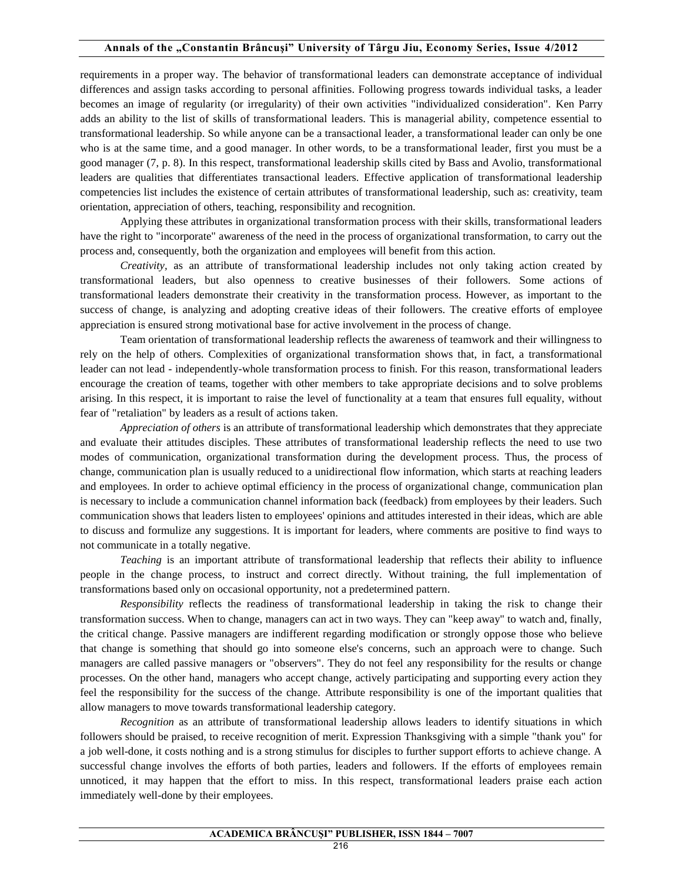requirements in a proper way. The behavior of transformational leaders can demonstrate acceptance of individual differences and assign tasks according to personal affinities. Following progress towards individual tasks, a leader becomes an image of regularity (or irregularity) of their own activities "individualized consideration". Ken Parry adds an ability to the list of skills of transformational leaders. This is managerial ability, competence essential to transformational leadership. So while anyone can be a transactional leader, a transformational leader can only be one who is at the same time, and a good manager. In other words, to be a transformational leader, first you must be a good manager (7, p. 8). In this respect, transformational leadership skills cited by Bass and Avolio, transformational leaders are qualities that differentiates transactional leaders. Effective application of transformational leadership competencies list includes the existence of certain attributes of transformational leadership, such as: creativity, team orientation, appreciation of others, teaching, responsibility and recognition.

Applying these attributes in organizational transformation process with their skills, transformational leaders have the right to "incorporate" awareness of the need in the process of organizational transformation, to carry out the process and, consequently, both the organization and employees will benefit from this action.

*Creativity,* as an attribute of transformational leadership includes not only taking action created by transformational leaders, but also openness to creative businesses of their followers. Some actions of transformational leaders demonstrate their creativity in the transformation process. However, as important to the success of change, is analyzing and adopting creative ideas of their followers. The creative efforts of employee appreciation is ensured strong motivational base for active involvement in the process of change.

Team orientation of transformational leadership reflects the awareness of teamwork and their willingness to rely on the help of others. Complexities of organizational transformation shows that, in fact, a transformational leader can not lead - independently-whole transformation process to finish. For this reason, transformational leaders encourage the creation of teams, together with other members to take appropriate decisions and to solve problems arising. In this respect, it is important to raise the level of functionality at a team that ensures full equality, without fear of "retaliation" by leaders as a result of actions taken.

*Appreciation of others* is an attribute of transformational leadership which demonstrates that they appreciate and evaluate their attitudes disciples. These attributes of transformational leadership reflects the need to use two modes of communication, organizational transformation during the development process. Thus, the process of change, communication plan is usually reduced to a unidirectional flow information, which starts at reaching leaders and employees. In order to achieve optimal efficiency in the process of organizational change, communication plan is necessary to include a communication channel information back (feedback) from employees by their leaders. Such communication shows that leaders listen to employees' opinions and attitudes interested in their ideas, which are able to discuss and formulize any suggestions. It is important for leaders, where comments are positive to find ways to not communicate in a totally negative.

*Teaching* is an important attribute of transformational leadership that reflects their ability to influence people in the change process, to instruct and correct directly. Without training, the full implementation of transformations based only on occasional opportunity, not a predetermined pattern*.* 

*Responsibility* reflects the readiness of transformational leadership in taking the risk to change their transformation success. When to change, managers can act in two ways. They can "keep away" to watch and, finally, the critical change. Passive managers are indifferent regarding modification or strongly oppose those who believe that change is something that should go into someone else's concerns, such an approach were to change. Such managers are called passive managers or "observers". They do not feel any responsibility for the results or change processes. On the other hand, managers who accept change, actively participating and supporting every action they feel the responsibility for the success of the change. Attribute responsibility is one of the important qualities that allow managers to move towards transformational leadership category.

*Recognition* as an attribute of transformational leadership allows leaders to identify situations in which followers should be praised, to receive recognition of merit. Expression Thanksgiving with a simple "thank you" for a job well-done, it costs nothing and is a strong stimulus for disciples to further support efforts to achieve change. A successful change involves the efforts of both parties, leaders and followers. If the efforts of employees remain unnoticed, it may happen that the effort to miss. In this respect, transformational leaders praise each action immediately well-done by their employees.